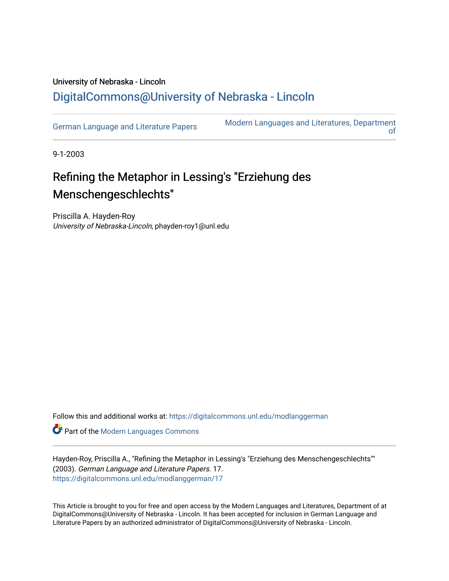## University of Nebraska - Lincoln [DigitalCommons@University of Nebraska - Lincoln](https://digitalcommons.unl.edu/)

[German Language and Literature Papers](https://digitalcommons.unl.edu/modlanggerman) Modern Languages and Literatures, Department [of](https://digitalcommons.unl.edu/modernlanguages) 

9-1-2003

## Refining the Metaphor in Lessing's "Erziehung des Menschengeschlechts"

Priscilla A. Hayden-Roy University of Nebraska-Lincoln, phayden-roy1@unl.edu

Follow this and additional works at: [https://digitalcommons.unl.edu/modlanggerman](https://digitalcommons.unl.edu/modlanggerman?utm_source=digitalcommons.unl.edu%2Fmodlanggerman%2F17&utm_medium=PDF&utm_campaign=PDFCoverPages) 

Part of the [Modern Languages Commons](http://network.bepress.com/hgg/discipline/1130?utm_source=digitalcommons.unl.edu%2Fmodlanggerman%2F17&utm_medium=PDF&utm_campaign=PDFCoverPages) 

Hayden-Roy, Priscilla A., "Refining the Metaphor in Lessing's "Erziehung des Menschengeschlechts"" (2003). German Language and Literature Papers. 17. [https://digitalcommons.unl.edu/modlanggerman/17](https://digitalcommons.unl.edu/modlanggerman/17?utm_source=digitalcommons.unl.edu%2Fmodlanggerman%2F17&utm_medium=PDF&utm_campaign=PDFCoverPages)

This Article is brought to you for free and open access by the Modern Languages and Literatures, Department of at DigitalCommons@University of Nebraska - Lincoln. It has been accepted for inclusion in German Language and Literature Papers by an authorized administrator of DigitalCommons@University of Nebraska - Lincoln.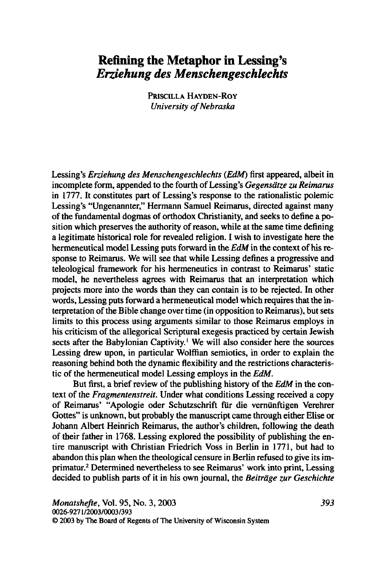## **Refining the Metaphor in Lessing's**  *Erziehung des Menschengeschlechts*

**PRISCILLA HAYDEN-ROY** *University of Nebraska* 

Lessing's *Erziehung des Menschengeschlechts (EdM)* first appeared, albeit in incomplete form, appended to the fourth of Lessing's *Gegensatze* **zu** *Reimarus*  in 1777. It constitutes part of Lessing's response to the rationalistic polemic Lessing's "Ungenannter," Hermann Samuel Reimarus, directed against many of the fundamental dogmas of orthodox Christianity, and seeks to define a position which preserves the authority of reason, while at the same time defining a legitimate historical role for revealed religion. I wish to investigate here the hermeneutical model Lessing puts forward in the *EdM* in the context of his response to Reimarus. We will see that while Lessing defines a progressive and teleological framework for his hermeneutics in contrast to Reimarus' static model, he nevertheless agrees with Reimarus that an interpretation which projects more into the words than they can contain is to be rejected. In other words, Lessing puts forward a hermeneutical model which requires that the interpretation of the Bible change over time (in opposition to Reimarus), but sets limits to this process using arguments similar to those Reimarus employs in his criticism of the allegorical Scriptural exegesis practiced by certain Jewish sects after the Babylonian Captivity.' We will also consider here the sources Lessing drew upon, in particular Wolffian semiotics, in order to explain the reasoning behind both the dynamic flexibility and the restrictions characteristic of the hermeneutical model Lessing employs in the *EdM.* 

But first, a brief review of the publishing history of the *EdM* in the context of the *Fragmentenstreit.* Under what conditions Lessing received a copy of Reimarus' "Apologie oder Schutzschrift fiir die verniinftigen Verehrer Gottes" is unknown, but probably the manuscript came through either Elise or Johann Albert Heinrich Reimarus, the author's children, following the death of their father in 1768. Lessing explored the possibility of publishing the entire manuscript with Christian Friedrich Voss in Berlin in 1771, but had to abandon this plan when the theological censure in Berlin refused to give its imprimatur.<sup>2</sup> Determined nevertheless to see Reimarus' work into print, Lessing decided to publish parts of it in his own journal, the *Beitrage zur Geschichte*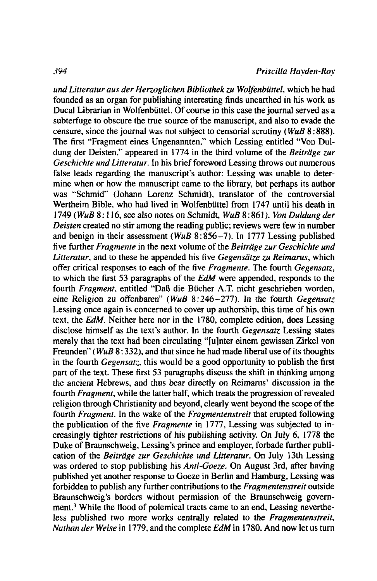und Litteratur aus der Herzoglichen Bibliothek zu Wolfenbüttel, which he had founded as an organ for publishing interesting finds unearthed in his work as Ducal Librarian in Wolfenbüttel. Of course in this case the journal served as a subterfuge to obscure the true source of the manuscript, and also to evade the censure, since the journal was not subject to censorial scrutiny (*WuB* 8:888). The first "Fragment eines Ungenannten." which Lessing entitled "Von Duldung der Deisten." appeared in 1774 in the third volume of the *Beitrage zur Geschichte und Litteratur.* In his brief foreword Lessing throws out numerous false leads regarding the manuscript's author: Lessing was unable to determine when or how the manuscript came to the library, but perhaps its author was "Schmid" (Johann Lorenz Schmidt), translator of the controversial Wertheim Bible, who had lived in Wolfenbüttel from 1747 until his death in <sup>1749</sup>( *WuB* <sup>8</sup>: **1** 16, see also notes on Schmidt, *WuB* 8 : 86 1 ). *Von Duldung der Deisten* created no stir among the reading public; reviews were few in number and benign in their assessment *(WuB* 8:856-7). In 1777 Lessing published five further *Fragmente* in the next volume of the *Beitrage zur Geschichte und Litteratur,* and to these he appended his five *Gegensaize zu Reimarus,* which offer critical responses to each of the five *Fragmente.* The fourth *Gegensatz,*  to which the first 53 paragraphs of the *EdM* were appended, responds to the fourth *Fragment*, entitled "Daß die Bücher A.T. nicht geschrieben worden, eine Religion zu offenbaren" *(WuB 8:246-277)*. In the fourth *Gegensatz* Lessing once again is concerned to cover up authorship. this time of his own text. the *EdM.* Neither here nor in the 1780, complete edition. does Lessing disclose himself as the text's author. In the fourth *Gegensatz* Lessing states merely that the text had been circulating "[ulnter einem gewissen Zirkel von Freunden" (*WuB* 8:332), and that since he had made liberal use of its thoughts in the fourth *Gegensatz.* this would be a good opportunity to publish the first part of the text. These first 53 paragraphs discuss the shift in thinking among the ancient Hebrews, and thus bear directly on Reimarus' discussion in the fourth *Fragment,* while the latter half, which treats the progression of revealed religion through Christianity and beyond, clearly went beyond the scope of the fourth *Fragment.* In the wake of the *Fragmentenstreit* that erupted following the publication of the five *Fragmenre* in 1777, Lessing was subjected to increasingly tighter restrictions of his publishing activity. On July 6, 1778 the Duke of Braunschweig, Lessing's prince and employer, forbade further publication of the *Beitrage zur Geschichte und Litterarur.* On July 13th Lessing was ordered to stop publishing his *Anti-Goeze.* On August **3rd,** after having published yet another response to Goeze in Berlin and Hamburg, Lessing was forbidden to publish any further contributions to the *Fragmentenstreit* outside Braunschweig's borders without permission of the Braunschweig government.<sup>3</sup> While the flood of polemical tracts came to an end, Lessing nevertheless published two more works centrally related to the *Fragmentenstreit, Nuthan cler Weise* in 1779. and the complete *EdM* in 1780. And now let us turn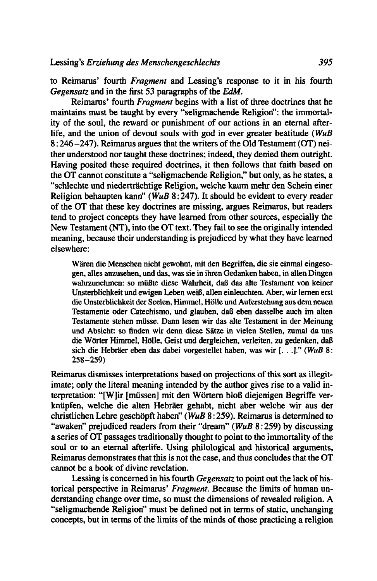to Reimarus' fourth *Fragment* and Lessing's response to it in his fourth *Gegensatz* and in the first 53 paragraphs of the *EdM.* 

Reimarus' fourth *Fragment* begins with a list of three doctrines that he maintains must **be** taught by every "seligmachende Religion": the immortality of the soul, the reward or punishment of our actions in an eternal afterlife, and the union of devout souls with god in ever greater beatitude *(WuB*  8 : 246-247). Reimarus argues that the writers of the Old Testament (OT) neither understood nor taught these doctrines; indeed, they denied them outright. Having posited these required doctrines, it then follows that faith based on the OT cannot constitute a "seligmachende Religion," but only, as he states, a "schlechte und niedertrachtige Religion, welche kaum mehr den Schein einer Religion behaupten kann" *(WuB* 8 : 247). It should be evident to every reader of the OT that these key doctrines are missing, argues Reimarus, but readers tend to project concepts they have learned from other sources, especially the New Testament (NT), into the OT text. They fail to see the originally intended meaning, because their understanding is prejudiced by what they have learned elsewhere:

W&en die Menschen nicht gewohnt, **mit** den Begriffen, die sie einmal eingesogen, alles anzusehen, und das. was sie in ihren Gedanken haben, in allen Dingen wahrzunehmen: so müßte diese Wahrheit, daß das alte Testament von keiner Unsterblichkeit und ewigen Leben weiB, ailen einleuchten. Aber, wir lernen erst die Unsterblichkeit der Seelen, Himmel, Hale und Auferstehung aus dem neuen Testamente oder Catechismo, und glauben, daß eben dasselbe auch im alten Testamente stehen müsse. Dann lesen wir das alte Testament in der Meinung und Absicht: so finden wir denn diese Satze in vielen Stellen, zumal da uns die Worter Himmel, Holle, Geist und dergieichen, verleiten, zu gedenken, daB sich die Hebraer eben das dabei vorgestellet haben, was wir [. . .I." **(WuB 8: 258-259)** 

Reimarus dismisses interpretations based on projections of this sort as illegitimate; only the literal meaning intended by the author gives rise to a valid interpretation: "[W]ir [müssen] mit den Wörtern bloß diejenigen Begriffe verkniipfen, welche die alten Hebraer gehabt, nicht aber welche wir aus der christlichen Lehre geschopft haben" *(WuB* 8 : 259). Reimarus is determined to "awaken" prejudiced readers from their "dream" *(WuB 8:259)* by discussing a series of OT passages traditionally thought to point to the immortality of the soul or to an eternal afterlife. Using philological and historical arguments, Reimarus demonstrates that this is not the case, and thus concludes that the OT cannot be a book of divine revelation.

Lessing is concerned in his fourth *Gegensarz* to point out the lack of historical perspective in Reimarus' *Fragment.* Because the limits of human understanding change over time, so must the dimensions of revealed religion. **A**  "seligmachende Religion" must be defined not in terms of static, unchanging concepts, but in terms of the limits of the minds of those practicing a religion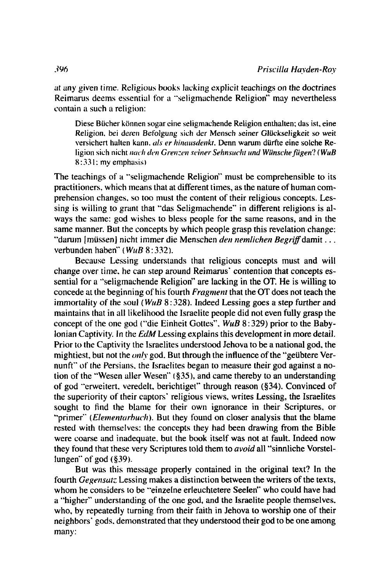at any given time. Religious books lacking explicit teachings on the doctrines Reimarus deems essential for a "seligmachende Religion" may nevertheless contain a such a religion:

Diese Bücher können sogar eine seligmachende Religion enthalten; das ist, eine Religion, bei deren Befolgung sich der Mensch seiner Glückseligkeit so weit versichert halten kann, als er hinausdenkt. Denn warum dürfte eine solche Religion sich nicht nach den Grenzen seiner Sehnsucht und Wünsche fügen? (WuB  $8:331$ ; my emphasis)

The teachings of a "seligmachende Religion" must be comprehensible to its practitioners, which means that at different times, as the nature of human comprehension changes, so too must the content of their religious concepts. Lessing is willing to grant that "das Seligmachende" in different religions is always the same: god wishes to bless people for the same reasons, and in the same manner. But the concepts by which people grasp this revelation change; "darum [müssen] nicht immer die Menschen den nemlichen Begriff damit... verbunden haben" ( $W \mu B 8:332$ ).

Because Lessing understands that religious concepts must and will change over time, he can step around Reimarus' contention that concepts essential for a "seligmachende Religion" are lacking in the OT. He is willing to concede at the beginning of his fourth *Fragment* that the OT does not teach the immortality of the soul ( $WuB$  8:328). Indeed Lessing goes a step further and maintains that in all likelihood the Israelite people did not even fully grasp the concept of the one god ("die Einheit Gottes", WuB 8:329) prior to the Babylonian Captivity. In the EdM Lessing explains this development in more detail. Prior to the Captivity the Israelites understood Jehova to be a national god, the mightiest, but not the *only* god. But through the influence of the "geübtere Vernunft" of the Persians, the Israelites began to measure their god against a notion of the "Wesen aller Wesen" (§35), and came thereby to an understanding of god "erweitert, veredelt, berichtiget" through reason (§34). Convinced of the superiority of their captors' religious views, writes Lessing, the Israelites sought to find the blame for their own ignorance in their Scriptures, or "primer" (*Elementarbuch*). But they found on closer analysis that the blame rested with themselves: the concepts they had been drawing from the Bible were coarse and inadequate, but the book itself was not at fault. Indeed now they found that these very Scriptures told them to *avoid* all "sinnliche Vorstellungen" of god  $(\S 39)$ .

But was this message properly contained in the original text? In the fourth *Gegensatz* Lessing makes a distinction between the writers of the texts, whom he considers to be "einzelne erleuchtetere Seelen" who could have had a "higher" understanding of the one god, and the Israelite people themselves, who, by repeatedly turning from their faith in Jehova to worship one of their neighbors' gods, demonstrated that they understood their god to be one among many: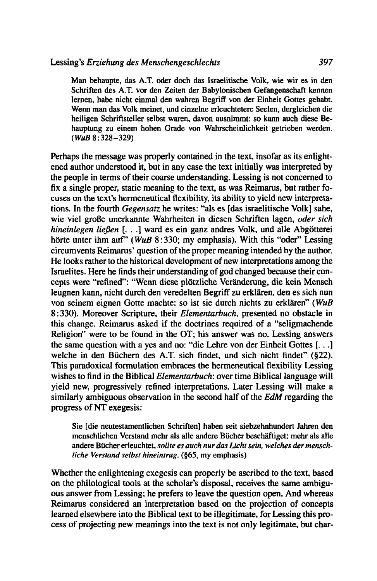**Man behaupte, das A.T. oder doch das Israelitische Volk, wie wir es in den Schriften des A.T. vor den Zeiten der Babylonischen Gefangenschaft kennen lernen, habe nicht einmal den wahren Begriff von der Einheit Gottes gehabt. Wenn man das Volk meinet, und einzelne erleuchtetere Seelen, dergleichen die heiligen Schriftsteller selbst waren, davon ausnimmt: so kann auch diese Behauptung zu einem hohen Grade von Wahrscheinlichkeit getrieben werden.**  ( **WuB 8: 328-329)** 

Perhaps the message was properly contained in the text, insofar as its enlightened author understood it, but in any case the text initially was interpreted by the people in terms of their coarse understanding. Lessing is not concerned to fix a single proper, static meaning to the text, as was Reimarus, but rather focuses on the text's hermeneutical flexibility, its ability to yield new interpretations. In the fourth Gegensatz he writes: "als es [das israelitische Volk] sahe, wie viel große unerkannte Wahrheiten in diesen Schriften lagen, oder sich hineinlegen ließen [...] ward es ein ganz andres Volk, und alle Abgötterei hörte unter ihm auf" (WuB 8:330; my emphasis). With this "oder" Lessing circumvents Reimarus' question of the proper meaning intended by the author. He looks rather to the historical development of new interpretations among the Israelites. Here he finds their understanding of god changed because their concepts were "refined": "Wenn diese plotzliche Veranderung, die kein Mensch leugnen kann, nicht durch den veredelten Begriff zu erklären, den es sich nun von seinem eignen Gotte machte: so ist sie durch nichts zu erklären" (WuB 8 : 330). Moreover Scripture, their Elementarbuch, presented no obstacle in this change. Reimarus asked if the doctrines required of a "seligmachende Religion" were to be found in the OT; his answer was no. Lessing answers the same question with a yes and no: "die Lehre von der Einheit Gottes [. . .] welche in den Biichern des A.T. sich findet, und sich nicht findet" (\$22). This paradoxical formulation embraces the hermeneutical flexibility Lessing wishes to find in the Biblical Elementarbuch: over time Biblical language will yield new, progressively refined interpretations. Later Lessing will make a similarly ambiguous observation in the second half of the EdM regarding the progress of NT exegesis:

**Sie [die neutestamentlichen Schriften] haben seit siebzehnhundert Jahren den menschlichen Verstand mehr als alle andere Biicher beschiiftiget: mehr als alle andere Biicher erleuchtet,** *sollte es auch nur das Licht sein, welches der menschliche Verstand selbsr hineintrug.* **(\$65, my emphasis)** 

Whether the enlightening exegesis can properly be ascribed to the text, based on the philological tools at the scholar's disposal, receives the same ambiguous answer from Lessing; he prefers to leave the question open. And whereas Reimarus considered an interpretation based on the projection of concepts learned elsewhere into the Biblical text to be illegitimate, for Lessing this process of projecting new meanings into the text is not only legitimate, but char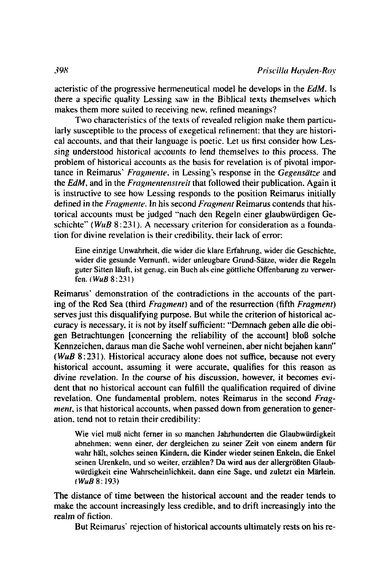acteristic of the progressive hermeneutical model he develops in the **EdM.** Is there a specific quality Lessing saw in the Biblical texts themselves which makes them more suited to receiving new. refined meanings?

Two characteristics of the texts of revealed religion make them particularly susceptible to the process of exegetical refinement: that they are historical accounts, and that their language is poetic. Let us first consider how Lessing understood historical accounts to lend themselves to this process. The problem of historical accounts as the basis for revelation is of pivotal iniportance in Reimarus' *Fragmente*, in Lessing's response in the *Gegensätze* and the *EdM*, and in the *Fragmentenstreit* that followed their publication. Again it is instructive to see how Lessing responds to the position Reimams initially defined in the *Fragmente*. In his second *Fragment* Reimarus contends that historical accounts must be judged "nach den Regeln einer glaubwiirdigen Geschichte" (*WuB* 8:231). A necessary criterion for consideration as a foundation for divine revelation is their credibility. their lack of error:

Eine einzige Unwahrheit. die wider die klare Erfahrung. wider die Geschichte, wider die gesunde Vernunft, wider unleugbare Grund-Sätze, wider die Regeln guter Sitten Iauft. ist genug. ein Buch als cine gottliche Offenbarung zu verwerfen. *iWuB* 8:231)

Reimarus' demonstration of the contradictions in the accounts of the parting of the Red Sea (third *Frugment)* and of the resurrection (fifth *Fragment)*  serves just this disqualifying purpose. But while the criterion of historical accuracy is necessary. it is not by itself sufficient: "Demnach geben alle die obigen Betrachtungen [concerning the reliability of the account] bloB solche Kennzeichen. daraus man die Sache wohl verneinen. aber nicht bejahen kann" *(WuB 8:231)*. Historical accuracy alone does not suffice, because not every historical account. assuming it were accurate. qualifies for this reason as divine revelation. In the course of his discussion, however, it becomes evident that no historical account can fulfill the qualification required of divine revelation. One fundamental problem. notes Reimarus in the second *Fragment*, is that historical accounts, when passed down from generation to generation. tend not to retain their credibility:

Wie viel muß nicht ferner in so manchen Jahrhunderten die Glaubwürdigkeit abnehmen; wenn einer, der dergleichen zu seiner Zeit von einem andern für wahr halt, solches seinen Kindern. die Kinder wieder seinen Enkeln. die Enkel seinen Urenkeln, und so weiter, erzählen? Da wird aus der allergrößten Glaubwurdigkeit eine Wahrscheinlichkeit. dann eine Sage. und zuletzt ein Marlein. **<sup>I</sup>WuB** 8: **193)** 

The distance of time between the historical account and the reader tends to make the account increasingly less credible. and to drift increasingly into the realm of fiction.

But Reimarus' rejection of historical accounts ultimately rests on his re-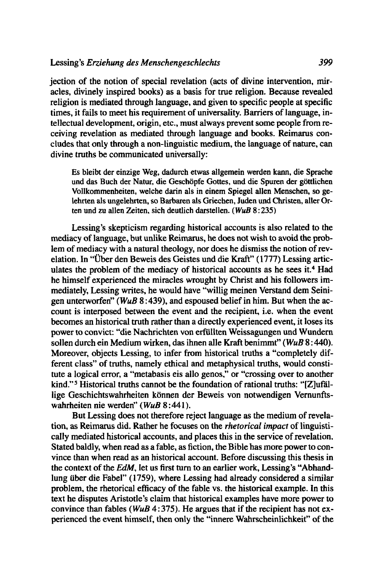jection of the notion of special revelation (acts of divine intervention, miracles, divinely inspired books) as a basis for true religion. Because revealed religion is mediated through language, and given to specific people at specific times, it fails to meet his requirement of universality. Barriers of language, intellectual development, origin, etc., must always prevent some people from receiving revelation as mediated through language and books. Reimarus concludes that only through a non-linguistic medium, the language of nature, can divine truths be communicated universally:

Es bleibt der einzige Weg, dadurch etwas allgernein werden kann, die Sprache und das Buch der Natur, die Geschöpfe Gottes, und die Spuren der göttlichen Vollkommenheiten, welche darin als in einern Spiegel allen Menschen, so gelehrten als ungelehrten, so Barbaren als Griechen, Juden und Christen, aller Orten und zu allen Zeiten. sich deutlich darstellen. *(WuB* **8:235)** 

Lessing's skepticism regarding historical accounts is also related to the mediacy of language, but unlike Reimarus, he does not wish to avoid the problem of mediacy with a natural theology, nor does he dismiss the notion of revelation. In "Über den Beweis des Geistes und die Kraft" (1777) Lessing articulates the problem of the mediacy of historical accounts as he sees it.<sup>4</sup> Had he himself experienced the miracles wrought by Christ and his followers immediately, Lessing writes, he would have "willig meinen Verstand dem Seinigen unterworfen" (WuB 8:439), and espoused belief in him. But when the account is interposed between the event and the recipient, i.e. when the event becomes an historical truth rather than a directly experienced event, it loses its power to convict: "die Nachrichten von erfullten Weissagungen und Wundern sollen durch ein Medium wirken, das ihnen alle Kraft benimmt" ( WuB 8 : 440). Moreover, objects Lessing, to infer from historical truths a "completely different class" of truths, namely ethical and metaphysical truths, would constitute a logical error, a "metabasis eis allo genos," or "crossing over to another kind."5 Historical truths cannot be the foundation of rational truths: "[Z]ufallige Geschichtswahrheiten können der Beweis von notwendigen Vernunftswahrheiten nie werden" ( **WuB** 8 : 44 1 ).

But Lessing does not therefore reject language as the medium of revelation, as Reimarus did. Rather he focuses on the *rhetorical impact* of linguistically mediated historical accounts, and places this in the service of revelation. Stated baldly, when read as a fable, as fiction, the Bible has more power to convince than when read as an historical account. Before discussing this thesis in the context of the *EdM,* let us first turn to an earlier work, Lessing's "Abhandlung iiber die Fabel" (1759), where Lessing had already considered a similar problem, the rhetorical efficacy of the fable vs. the historical example. In this text he disputes Aristotle's claim that historical examples have more power to convince than fables ( $WuB$  4:375). He argues that if the recipient has not experienced the event himself, then only the "innere Wahrscheinlichkeit" of the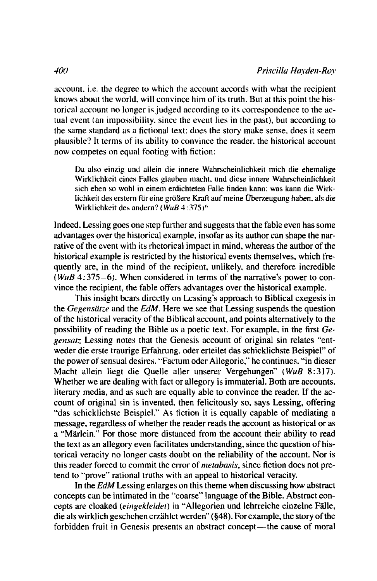account. i.e. the degree to which the account accords with what the recipient knows about the world. will convince him of its truth. But at this point the historical account no longer is judged according to its correspondence to the actual event (an impossibility, since the event lies in the past), but according to the same standard as a fictional text: does the story make sense, does it seem plausible'? It terms of its ability to convince the reader. the historical account now competes on equal footing with fiction:

Da also einzig und allein die innere Wahrscheinlichkeit mich die ehemalige Wirklichkeit eines Falles glauben macht. und diese innere Wahrscheinlichkeit sich eben so wohl in einem erdichteten Falle finden kann: was kann die Wirklichkeit des erstern für eine größere Kraft auf meine Überzeugung haben, als die Wirklichkeit des andern? (*WuB* 4:375)<sup>6</sup>

Indeed. Lessing goes one step further and suggests that the fable even has some advantages over the historical example. insofar as its author can shape the narrative of the event with its rhetorical impact in mind. whereas the author of the historical example is restricted by the historical events themselves, which frequently are, in the mind of the recipient, unlikely. and therefore incredible ( **WuB** 4:375-6). When considered in terms of the narrative's power to convince the recipient, the fable offers advantages over the historical example.

This insight bears directly on Lessing's approach to Biblical exegesis in the *Gegensarze* and the *EdM.* Here we see that Lessing suspends the question of the historical veracity of the Biblical account, and points alternatively to the possibility of reading the Bible as a poetic text. For example. in the first *Gegensatz* Lessing notes that the Genesis account of original sin relates "entweder die erste traurige Erfahrung. oder erteilet das schicklichste Beispiel" of the power of sensual desires. "Factum oder Allegorie," he continues, "in dieser Macht allein liegt die Quelle aller unserer Vergehungen" (WuB 8:317). Whether we are dealing with fact or allegory is immaterial. Both are accounts. literary media, and as such are equally able to convince the reader. If the account of original sin is invented. then felicitously so. says Lessing, offering "das schicklichste Beispiel." As fiction it is equally capable of mediating a message, regardless of whether the reader reads the account as historical or as a "Märlein." For those more distanced from the account their ability to read the text as an allegory even facilitates understanding, since the question of historical veracity no longer casts doubt on the reliability of the account. Nor is this reader forced to commit the error of *nretabasis,* since fiction does not pretend to "prove" rational truths with an appeal to historical veracity.

In the *EdM* Lessing enlarges on this theme when discussing how abstract concepts can be intimated in the "coarse" language of the Bible. Abstract concepts are cloaked *(eingekleidet)* in "Allegorien und lehrreiche einzelne Fälle, die als wirklich geschehen erzählet werden" (\$48). For example, the story of the forbidden fruit in Genesis presents an abstract concept—the cause of moral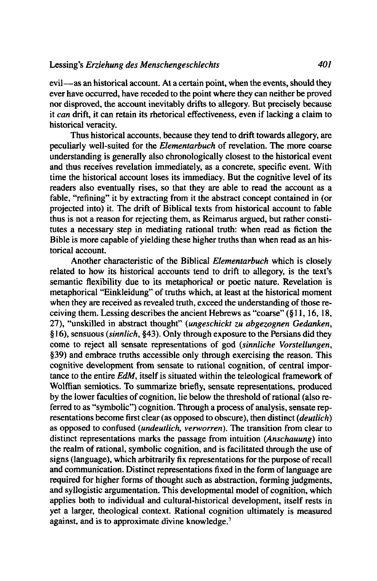evil-as an historical account. At a certain point, when the events, should they ever have occurred, have receded to the point where they can neither be proved nor disproved, the account inevitably drifts to allegory. But precisely because it *can* drift, it can retain its rhetorical effectiveness, even if lacking a claim to historical veracity.

Thus historical accounts. because they tend to drift towards allegory, are peculiarly well-suited for the *Elementarbuch* of revelation. The more coarse understanding is generally also chronologically closest to the historical event and thus receives revelation immediately, as a concrete, specific event. With time the historical account loses its immediacy. But the cognitive level of its readers also eventually rises, so that they are able to read the account as a fable, "refining" it by extracting from it the abstract concept contained in (or projected into) it. The drift of Biblical texts from historical account to fable thus is not a reason for rejecting them, as Reimarus argued, but rather constitutes a necessary step in mediating rational truth: when read as fiction the Bible is more capable of yielding these higher truths than when read as an historical account.

Another characteristic of the Biblical *Elementarbuch* which is closely related to how its historical accounts tend to drift to allegory, is the text's semantic flexibility due to its metaphorical or poetic nature. Revelation is metaphorical "Einkleidung" of truths which, at least at the historical moment when they are received as revealed truth, exceed the understanding of those receiving them. Lessing describes the ancient Hebrews as "coarse" (§ 1 **1,** 16, 18, **27),** "unskilled in abstract thought" *(ungeschickt zu abgezognen Gedanken,*  **16),** sensuous *(sinnlich, 943).* Only through exposure to the Persians did they come to reject all sensate representations of god *(sinnliche Vorstellungen, \$39)* and embrace truths accessible only through exercising the reason. This cognitive development from sensate to rational cognition, of central importance to the entire *EdM,* itself is situated within the teleological framework of Wolffian semiotics. To summarize briefly, sensate representations, produced by the lower faculties of cognition, lie below the threshold of rational (also referred to as "symbolic") cognition. Through a process of analysis, sensate representations become first clear (as opposed to obscure), then distinct *(deutlich)*  as opposed to confused *(undeutlich, verworren)*. The transition from clear to distinct representations marks the passage from intuition *(Anschauung)* into the realm of rational, symbolic cognition, and is facilitated through the use of signs (language), which arbitrarily fix representations for the purpose of recall and communication. Distinct representations fixed in the form of language are required for higher forms of thought such as abstraction, forming judgments, and syllogistic argumentation. This developmental model of cognition, which applies both to individual and cultural-historical development, itself rests in yet a larger, theological context. Rational cognition ultimately is measured against. and is to approximate divine knowledge.'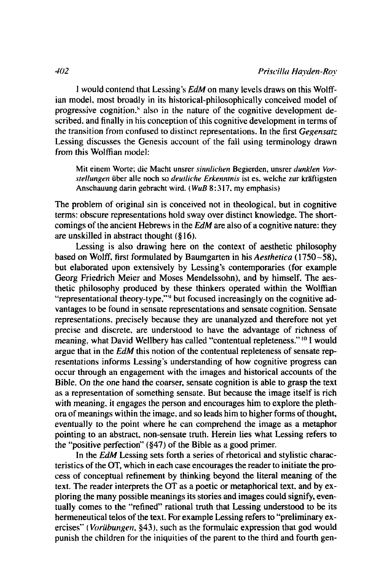1 would contend that Lessing's *EdM* on many levels draws on this Wolffian model. most broadly in its historical-philosophically conceived model of progressive cognition." also in the nature of the cognitive development described. and finally in his conception of this cognitive development in terms of the transition from confused to distinct representations. In the first *Gegensatz* Lessing discusses the Genesis account of the fall using terminology drawn from this Wolffian model:

**Mit einem Worte; die Macht unsrer** *sinnlichen* **Begierden, unsrer** *dunklen Vor* $stellingen$  über alle noch so *deutliche Erkenntnis* ist es, welche zur kräftigsten **Anschauung darin gebracht wird.** ( **WuB 8: 3 17.** my **emphasis)** 

The problem of original sin is conceived not in theological, but in cognitive terms: obscure representations hold sway over distinct knowledge. The shortcomings of the ancient Hebrews in the *EdM* are also of a cognitive nature: they are unskilled in abstract thought **(8** 16).

Lessing is also drawing here on the context of aesthetic philosophy based on Wolff. first formulated by Baumgarten in his *Aesthetica* (1750-58). but elaborated upon extensively by Lessing's contemporaries (for example Georg Friedrich Meier and Moses Mendelssohn). and by himself. The aesthetic philosophy produced by these thinkers operated within the Wolffian "representational theory-type."<sup>9</sup> but focused increasingly on the cognitive advantages to be found in sensate representations and sensate cognition. Sensate representations. precisely because they are unanalyzed and therefore not yet precise and discrete. are understood to have the advantage of richness of meaning. what David Wellbery has called "contentual repleteness." **lo** I would argue that in the *EdM* this notion of the contentual repleteness of sensate representations informs Lessing's understanding of how cognitive progress can occur through an engagement with the images and historical accounts of the Bible. On the one hand the coarser, sensate cognition is able to grasp the text as a representation of something sensate. But because the image itself is rich with meaning. it engages the person and encourages him to explore the plethora of meanings within the image. and so leads him to higher forms of thought, eventually to the point where he can comprehend the image as a metaphor pointing to an abstract. non-sensate truth. Herein lies what Lessing refers to the "positive perfection" (\$47) of the Bible as a good primer.

In the *EdM* Lessing sets forth a series of rhetorical and stylistic characteristics of the OT, which in each case encourages the reader to initiate the process of conceptual refinement by thinking beyond the literal meaning of the text. The reader interprets the OT as a poetic or metaphorical text. and by exploring the many possible meanings its stories and images could signify, eventually comes to the "refined" rational truth that Lessing understood to be its hermeneutical telos of the text. For example Lessing refers to "preliminary exercises" (*Vorübungen*, §43), such as the formulaic expression that god would punish the children for the iniquities of the parent to the third and fourth gen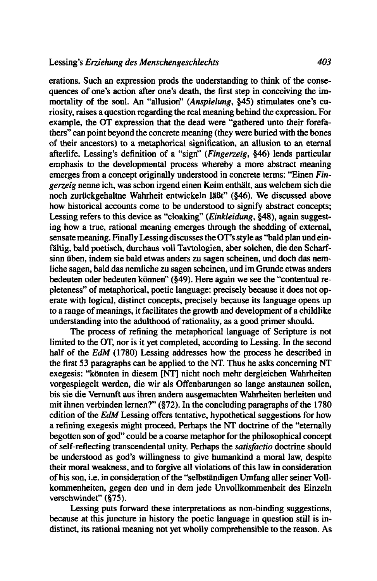erations. Such an expression prods the understanding to think of the consequences of one's action after one's death, the first step in conceiving the immortality of the soul. An "allusion" *(Anspielung,* 945) stimulates one's curiosity, raises a question regarding the real meaning behind the expression. For example, the OT expression that the dead were "gathered unto their forefathers" can point beyond the concrete meaning (they were buried with the bones of their ancestors) to a metaphorical signification, an allusion to an eternal afterlife. Lessing's definition of a "sign" (Fingerzeig, §46) lends particular emphasis to the developmental process whereby a more abstract meaning emerges from a concept originally understood in concrete terms: "Einen *Fingerzeig* nenne ich, was schon irgend einen Keim enthalt, aus welchem sich die noch zurückgehaltne Wahrheit entwickeln läßt" (§46). We discussed above how historical accounts come to be understood to signify abstract concepts; Lessing refers to this device as "cloaking" *(Einkleidung, §48)*, again suggesting how a true, rational meaning emerges through the shedding of external, sensate meaning. Finally Lessing discusses the OT's style as "bald plan und einfailtig, bald poetisch, durchaus voll Tavtologien, aber solchen, die den Scharfsinn iiben, indem sie bald etwas anders zu sagen scheinen, und doch das nemliche sagen, bald das nemliche zu sagen scheinen, und im Grunde etwas anders bedeuten oder bedeuten können" (§49). Here again we see the "contentual repleteness" of metaphorical, poetic language: precisely because it does not operate with logical, distinct concepts, precisely because its language opens up to a range of meanings, it facilitates the growth and development of a childlike understanding into the adulthood of rationality, as a good primer should.

The process of refining the metaphorical language of Scripture is not limited to the OT, nor is it yet completed, according to Lessing. In the second half of the *EdM* (1780) Lessing addresses how the process he described in the first 53 paragraphs can be applied to the NT. Thus he asks concerning NT exegesis: "könnten in diesem **[NT]** nicht noch mehr dergleichen Wahrheiten vorgespiegelt werden, die wir als Offenbarungen so lange anstaunen sollen, bis sie die Vernunft aus ihren andern ausgemachten Wahrheiten herleiten und mit ihnen verbinden lernen?" (\$72). In the concluding paragraphs of the 1780 edition of the *EdM* Lessing offers tentative, hypothetical suggestions for how a refining exegesis might proceed. Perhaps the NT doctrine of the "eternally begotten son of god" could be a coarse metaphor for the philosophical concept of self-reflecting transcendental unity. Perhaps the *satisfactio* doctrine should be understood as god's willingness to give humankind a moral law, despite their moral weakness, and to forgive all violations of this law in consideration of his son, i.e. in consideration of the "selbständigen Umfang aller seiner Vollkommenheiten, gegen den und in dem jede Unvollkommenheit des Einzeln verschwindet" (\$75).

Lessing puts forward these interpretations as non-binding suggestions, because at this juncture in history the poetic language in question still is indistinct, its rational meaning not yet wholly comprehensible to the reason. As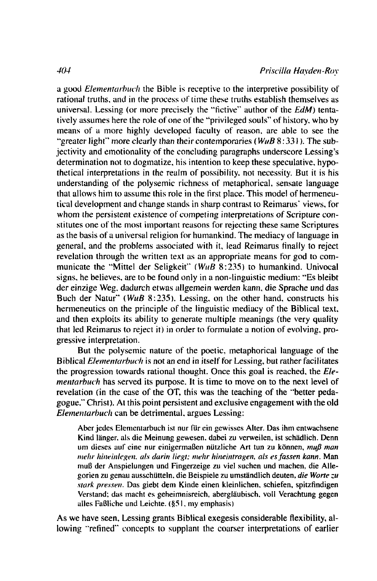a good *Elementarbuch* the Bible is receptive to the interpretive possibility of rational truths, and in the process of time these truths establish themselves as universal. Lessing (or more precisely the "fictive" author of the EdM) tentatively assumes here the role of one of the "privileged souls" of history, who by means of a more highly developed faculty of reason, are able to see the "greater light" more clearly than their contemporaries ( $W \mu B 8:331$ ). The subjectivity and emotionality of the concluding paragraphs underscore Lessing's determination not to dogmatize, his intention to keep these speculative, hypothetical interpretations in the realm of possibility, not necessity. But it is his understanding of the polysemic richness of metaphorical, sensate language that allows him to assume this role in the first place. This model of hermeneutical development and change stands in sharp contrast to Reimarus' views, for whom the persistent existence of competing interpretations of Scripture constitutes one of the most important reasons for rejecting these same Scriptures as the basis of a universal religion for humankind. The mediacy of language in general, and the problems associated with it, lead Reimarus finally to reject revelation through the written text as an appropriate means for god to communicate the "Mittel der Seligkeit" (WuB 8:235) to humankind. Univocal signs, he believes, are to be found only in a non-linguistic medium: "Es bleibt" der einzige Weg, dadurch etwas allgemein werden kann, die Sprache und das Buch der Natur" (WuB 8:235). Lessing, on the other hand, constructs his hermeneutics on the principle of the linguistic mediacy of the Biblical text, and then exploits its ability to generate multiple meanings (the very quality that led Reimarus to reject it) in order to formulate a notion of evolving, progressive interpretation.

But the polysemic nature of the poetic, metaphorical language of the Biblical Elementarbuch is not an end in itself for Lessing, but rather facilitates the progression towards rational thought. Once this goal is reached, the Elementarbuch has served its purpose. It is time to move on to the next level of revelation (in the case of the OT, this was the teaching of the "better pedagogue," Christ). At this point persistent and exclusive engagement with the old Elementarbuch can be detrimental, argues Lessing:

Aber jedes Elementarbuch ist nur für ein gewisses Alter. Das ihm entwachsene Kind länger, als die Meinung gewesen, dabei zu verweilen, ist schädlich. Denn um dieses auf eine nur einigermaßen nützliche Art tun zu können, muß man mehr hineinlegen, als darin liegt; mehr hineintragen, als es fassen kann. Man muß der Anspielungen und Fingerzeige zu viel suchen und machen, die Allegorien zu genau ausschütteln, die Beispiele zu umständlich deuten, die Worte zu stark pressen. Das giebt dem Kinde einen kleinlichen, schiefen, spitzfindigen Verstand; das macht es geheimnisreich, abergläubisch, voll Verachtung gegen alles Faßliche und Leichte. (§51, my emphasis)

As we have seen, Lessing grants Biblical exegesis considerable flexibility, allowing "refined" concepts to supplant the coarser interpretations of earlier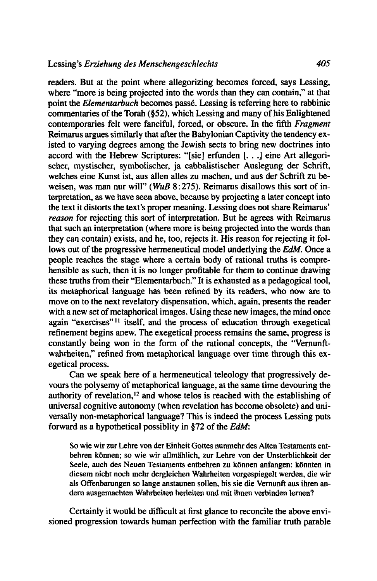readers. But at the point where allegorizing becomes forced, says Lessing, where "more is being projected into the words than they can contain," at that point the *Elementarbuch* becomes passé. Lessing is referring here to rabbinic commentaries of the Torah (\$52). which Lessing and many of his Enlightened contemporaries felt were fanciful, forced, or obscure. In the fifth *Fragment*  Reimarus argues similarly that after the Babylonian Captivity the tendency existed to varying degrees among the Jewish sects to bring new doctrines into accord with the Hebrew Scriptures: "[sie] erfunden [. . .] eine Art allegorischer, mystischer, symbolischer, ja cabbalistischer Auslegung der Schrift, welches eine Kunst ist, aus allen alles zu machen, und aus der Schrift zu beweisen, was man nur will" (*WuB 8:275*). Reimarus disallows this sort of interpretation, as we have seen above, because by projecting a later concept into the text it distorts the text's proper meaning. Lessing does not share Reimarus' *reason* for rejecting this sort of interpretation. But he agrees with Reimarus that such an interpretation (where more is being projected into the words than they can contain) exists, and he, too, rejects it. His reason for rejecting it follows out of the progressive hermeneutical model underlying the *EdM.* Once a people reaches the stage where a certain body of rational truths is comprehensible as such, then it is no longer profitable for them to continue drawing these truths from their "Elementarbuch." It is exhausted as a pedagogical tool, its metaphorical language has been refined by its readers, who now are to move on to the next revelatory dispensation, which, again, presents the reader with a new set of metaphorical images. Using these new images, the mind once again "exercises"<sup>11</sup> itself, and the process of education through exegetical refinement begins anew. The exegetical process remains the same, progress is constantly being won in the form of the rational concepts, the "Vernunftwahrheiten," refined from metaphorical language over time through this exegetical process.

Can we speak here of a hermeneutical teleology that progressively devours the polysemy of metaphorical language, at the same time devouring the authority of revelation,<sup>12</sup> and whose telos is reached with the establishing of universal cognitive autonomy (when revelation has become obsolete) and universally non-metaphorical language? This is indeed the process Lessing puts forward as a hypothetical possiblity in \$72 of the *EdM:* 

**So wie wir zur Lehre von der Einheit Gottes nunmehr des Alten Testaments entbehren konnen; so wie wir allmahlich, zur Lehre von der Unsterblichkeit der**  Seele, auch des Neuen Testaments entbehren zu können anfangen: könnten in **diesem nicht noch rnehr dergleichen Wahrheiten vorgespiegelt werden, die wir als Offenbarungen so lange anstaunen sollen, bis sie die Vernunft aus ihren andern ausgemachten Wahrheiten herleiten und rnit ihnen verbinden lernen?** 

Certainly it would be difficult at first glance to reconcile the above envisioned progression towards human perfection with the familiar truth parable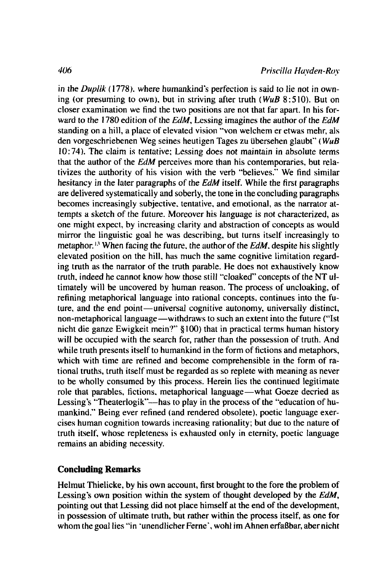in the *Duplik* (1778), where humankind's perfection is said to lie not in owning (or presuming to own). but in striving after truth **(WuB** 8:510). But on closer examination we find the two positions are not that far apart. In his forward to the 1780 edition of the *EdM,* Lessing imagines the author of the *EdM*  standing on a hill, a place of elevated vision "von welchem er etwas mehr, als den vorgeschriebenen Weg seines heutigen Tages zu iibersehen glaubt" ( **W14B**  10: 74). The claim is tentative; Lessing does not maintain in absolute terms that the author of the *EdM* perceives more than his contemporaries. but relativizes the authority of his vision with the verb "believes." We find similar hesitancy in the later paragraphs of the *EdM* itself. While the first paragraphs are delivered systematically and soberly, the tone in the concluding paragraphs becomes increasingly subjective. tentative, and emotional, as the narrator attempts a sketch of the future. Moreover his language is not characterized, as one might expect. by increasing clarity and abstraction of concepts as would mirror the linguistic goal he was describing, but turns itself increasingly to metaphor.<sup>13</sup> When facing the future, the author of the *EdM*, despite his slightly elevated position on the hill, has much the same cognitive limitation regarding truth as the narrator of the truth parable. He does not exhaustively know truth. indeed he cannot know how those still "cloaked" concepts of the NT ultimately will be uncovered by human reason. The process of uncloaking. of refining metaphorical language into rational concepts. continues into the future, and the end point-universal cognitive autonomy, universally distinct, non-metaphorical language-withdraws to such an extent into the future ("1st nicht die ganze Ewigkeit mein?" \$100) that in practical terms human history will be occupied with the search for, rather than the possession of truth. And while truth presents itself to humankind in the form of fictions and metaphors, which with time are refined and become comprehensible in the form of rational truths, truth itself must be regarded as so replete with meaning as never to be wholly consumed by this process. Herein lies the continued legitimate role that parables, fictions, metaphorical language-what Goeze decried as Lessing's "Theaterlogik"--has to play in the process of the "education of humankind." Being ever refined (and rendered obsolete). poetic language exercises human cognition towards increasing rationality: but due to the nature of truth itself. whose repleteness is exhausted only in eternity. poetic language remains an abiding necessity.

## **Concluding Remarks**

Helmut Thielicke, by his own account, first brought to the fore the problem of Lessing's own position within the system of thought developed by the *EdM,*  pointing out that Lessing did not place himself at the end of the development, in possession of ultimate truth, but rather within the process itself, as one for whom the goal lies "in 'unendlicher Ferne', wohl im Ahnen erfaßbar, aber nicht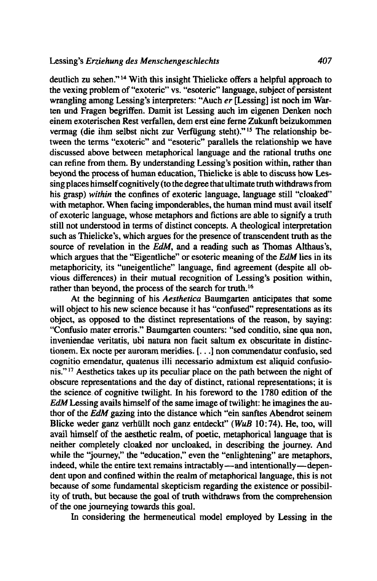deutlich zu sehen." **l4** With this insight Thielicke offers a helpful approach to the vexing problem of "exoteric" vs. "esoteric" language, subject of persistent wrangling among Lessing's interpreters: "Auch *er* [Lessing] ist noch im Warten und Fragen begriffen. Damit ist Lessing auch im eigenen Denken noch einem exoterischen Rest verfallen, dem erst eine ferne Zukunft beizukommen vermag (die ihm selbst nicht zur Verfügung steht)."<sup>15</sup> The relationship between the terms "exoteric" and "esoteric" parallels the relationship we have discussed above between metaphorical language and the rational truths one can refine from them. By understanding Lessing's position within, rather than beyond the process of human education, Thielicke is able to discuss how Lessing places himself cognitively (to the degree that ultimate truth withdraws from his grasp) *within* the confines of exoteric language, language still "cloaked" with metaphor. When facing imponderables, the human mind must avail itself of exoteric language, whose metaphors and fictions **are** able to signify a truth still not understood in terms of distinct concepts. **A** theological interpretation such as Thielicke's, which argues for the presence of transcendent truth as the source of revelation in the *EdM,* and a reading such as Thomas Althaus's, which argues that the "Eigentliche" or esoteric meaning of the *EdM* lies in its metaphoricity, its "uneigentliche" language, find agreement (despite all obvious differences) in their mutual recognition of Lessing's position within, rather than beyond, the process of the search for truth.<sup>16</sup>

At the beginning of his Aesthetica Baumgarten anticipates that some will object to his new science because it has "confused" representations as its object, as opposed to the distinct representations of the reason, by saying: "Confusio mater erroris." Baumgarten counters: "sed conditio, sine qua non, inveniendae veritatis, ubi natura non facit saltum **ex** obscuritate in distinctionem. Ex nocte per auroram meridies. [. . .] non commendatur confusio, sed cognitio emendatur, quatenus illi necessario admixtum est aliquid confusionis."I7 Aesthetics takes up its peculiar place on the path between the night of obscure representations and the day of distinct, rational representations; it is the science. of cognitive twilight. In his foreword to the 1780 edition of the *EdM* Lessing avails himself of the same image of twilight: he imagines the author of the *EdM* gazing into the distance which "ein sanftes Abendrot seinem Blicke weder ganz verhiillt noch ganz entdeckt" **(WuB** 10: 74). He, too, will avail himself of the aesthetic realm, of poetic, metaphorical language that is neither completely cloaked nor uncloaked, in describing the journey. And while the "journey," the "education," even the "enlightening" **are** metaphors, indeed, while the entire text remains intractably —and intentionally — dependent upon and confined within the realm of metaphorical language, this is not because of some fundamental skepticism regarding the existence or possibility of truth, but because the goal of truth withdraws from the comprehension of the one journeying towards this goal.

In considering the hermeneutical model employed by Lessing in the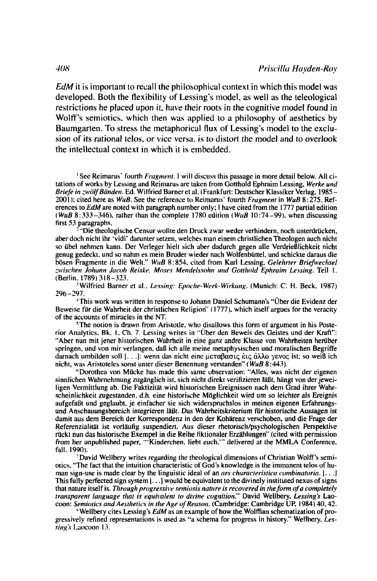EdM it is important to recall the philosophical context in which this model was developed. Both the flexibility of Lessing's model, as well as the teleological restrictions he placed upon it, have their roots in the cognitive model found in Wolff's semiotics, which then was applied to a philosophy of aesthetics by Baumgarten. To stress the metaphorical flux of Lessing's model to the exclusion of its rational telos, or vice versa, is to distort the model and to overlook the intellectual context in which it is embedded.

<sup>1</sup> See Reimarus' fourth *Fragment*. 1 will discuss this passage in more detail below. All citations of works by Lessing and Reimarus are taken from Gotthold Ephraim Lessing, Werke und Briefe in zwölf Bänden. Ed. Wilfried Barner et al. (Frankfurt: Deutscher Klassiker Verlag, 1985-2001); cited here as  $WuB$ . See the reference to Reimarus' fourth *Fragment* in  $WuB$  8:275. References to EdM are noted with paragraph number only; I have cited from the 1777 partial edition (WuB 8:333-346), rather than the complete 1780 edition (WuB 10:74-99), when discussing first 53 paragraphs.

Die theologische Censur wollte den Druck zwar weder verhindern, noch unterdrücken, aber doch nicht ihr 'vidi' darunter setzen, welches man einem christlichen Theologen auch nicht so übel nehmen kann. Der Verleger hielt sich aber dadurch gegen alle Verdrießlichkeit nicht genug gedeckt, und so nahm es mein Bruder wieder nach Wolfenbüttel, und schickte daraus die bösen Fragmente in die Welt." WuB 8:854, cited from Karl Lessing, Gelehrter Briefwechsel zwischen Johann Jacob Reiske. Moses Mendelssohn und Gotthold Ephraim Lessing. Teil 1. (Berlin, 1789) 318-323.

<sup>3</sup>Wilfried Barner et al., Lessing: Epoche-Werk-Wirkung. (Munich: C. H. Beck, 1987)  $296 - 297$ .

<sup>4</sup>This work was written in response to Johann Daniel Schumann's "Über die Evidenz der Beweise für die Wahrheit der christlichen Religion" (1777), which itself argues for the veracity of the accounts of miracles in the NT.

<sup>5</sup>The notion is drawn from Aristotle, who disallows this form of argument in his Posterior Analytics, Bk. 1, Ch. 7. Lessing writes in "Über den Beweis des Geistes und der Kraft": "Aber nun mit jener historischen Wahrheit in eine ganz andre Klasse von Wahrheiten herüber springen, und von mir verlangen, daß ich alle meine metaphysischen und moralischen Begriffe darnach umbilden soll [...]; wenn das nicht eine μεταβασις εις αλλο γενος ist; so weiß ich nicht, was Aristoteles sonst unter dieser Benennung verstanden" (WuB 8:443).

<sup>6</sup>Dorothea von Mücke has made this same observation: "Alles, was nicht der eigenen sinnlichen Wahrnehmung zugänglich ist, sich nicht direkt verifizieren läßt, hängt von der jeweiligen Vermittlung ab. Die Faktizität wird historischen Ereignissen nach dem Grad ihrer Wahrscheinlichkeit zugestanden. d.h. eine historische Möglichkeit wird um so leichter als Ereignis aufgefaßt und geglaubt, je einfacher sie sich widerspruchslos in meinen eigenen Erfahrungsund Anschauungsbereich integrieren läßt. Das Wahrheitskriterium für historische Aussagen ist damit aus dem Bereich der Korrespondenz in den der Kohärenz verschoben, und die Frage der Referenzialität ist vorläufig suspendiert. Aus dieser rhetorisch/psychologischen Perspektive rückt nun das historische Exempel in die Reihe fiktionaler Erzählungen" (cited with permission from her unpublished paper, "Kinderchen, liebt euch," delivered at the MMLA Conference, fall, 1990).

David Wellbery writes regarding the theological dimensions of Christian Wolff's semiotics, "The fact that the intuition characteristic of God's knowledge is the immanent telos of human sign-use is made clear by the linguistic ideal of an ars characteristica combinatoria.  $|\cdot|$ . This fully perfected sign system  $[\dots]$  would be equivalent to the divinely instituted nexus of signs that nature itself is. Through progressive semiosis nature is recovered in the form of a completely transparent language that is equivalent to divine cognition." David Wellbery, Lessing's Laocoon: Semiotics and Aesthetics in the Age of Reason. (Cambridge: Cambridge UP, 1984) 40, 42.

<sup>\*</sup> Wellbery cites Lessing's EdM as an example of how the Wolffian schematization of progressively refined representations is used as "a schema for progress in history." Wellbery, Lessing's Laocoon 13.

 $408$